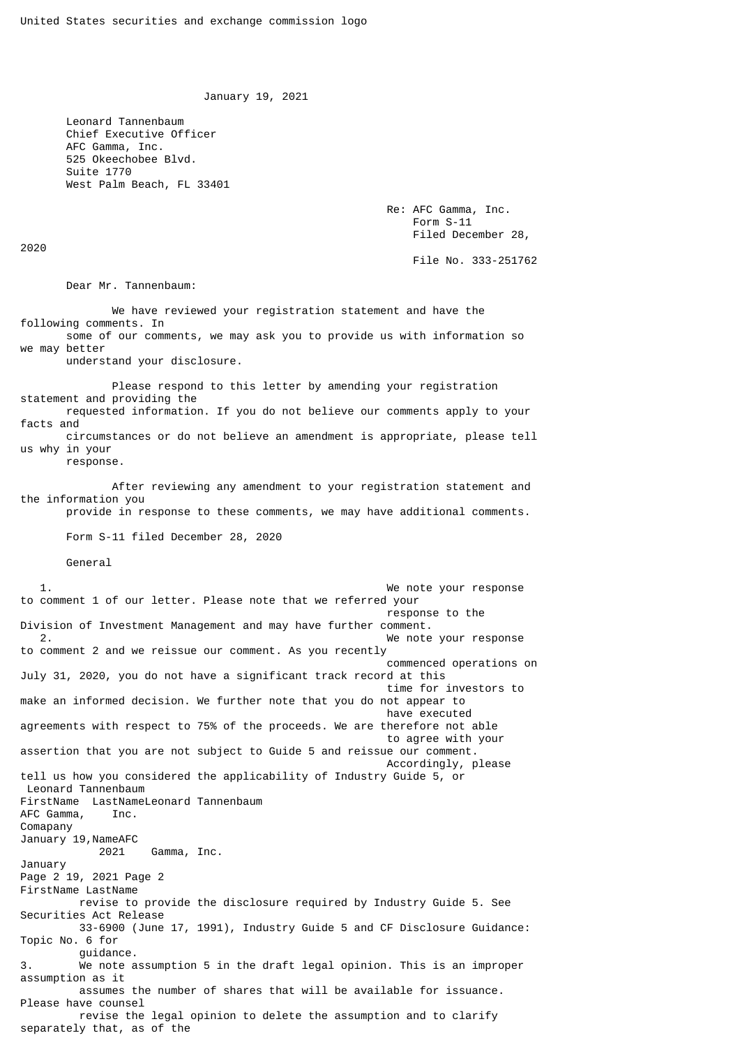January 19, 2021

 Leonard Tannenbaum Chief Executive Officer AFC Gamma, Inc. 525 Okeechobee Blvd. Suite 1770 West Palm Beach, FL 33401

> Re: AFC Gamma, Inc. Form S-11 Filed December 28,

> > File No. 333-251762

Dear Mr. Tannenbaum:

 We have reviewed your registration statement and have the following comments. In some of our comments, we may ask you to provide us with information so we may better understand your disclosure. Please respond to this letter by amending your registration statement and providing the requested information. If you do not believe our comments apply to your facts and circumstances or do not believe an amendment is appropriate, please tell us why in your response. After reviewing any amendment to your registration statement and the information you provide in response to these comments, we may have additional comments. Form S-11 filed December 28, 2020 General 1. We note your response to comment 1 of our letter. Please note that we referred your response to the Division of Investment Management and may have further comment. We note your response to comment 2 and we reissue our comment. As you recently commenced operations on July 31, 2020, you do not have a significant track record at this time for investors to make an informed decision. We further note that you do not appear to have executed agreements with respect to 75% of the proceeds. We are therefore not able to agree with your assertion that you are not subject to Guide 5 and reissue our comment. Accordingly, please tell us how you considered the applicability of Industry Guide 5, or Leonard Tannenbaum FirstName LastNameLeonard Tannenbaum AFC Gamma, Inc. Comapany January 19, NameAFC<br>2021 Gamma, Inc. January Page 2 19, 2021 Page 2 FirstName LastName revise to provide the disclosure required by Industry Guide 5. See Securities Act Release 33-6900 (June 17, 1991), Industry Guide 5 and CF Disclosure Guidance: Topic No. 6 for guidance. 3. We note assumption 5 in the draft legal opinion. This is an improper assumption as it assumes the number of shares that will be available for issuance. Please have counsel revise the legal opinion to delete the assumption and to clarify separately that, as of the

2020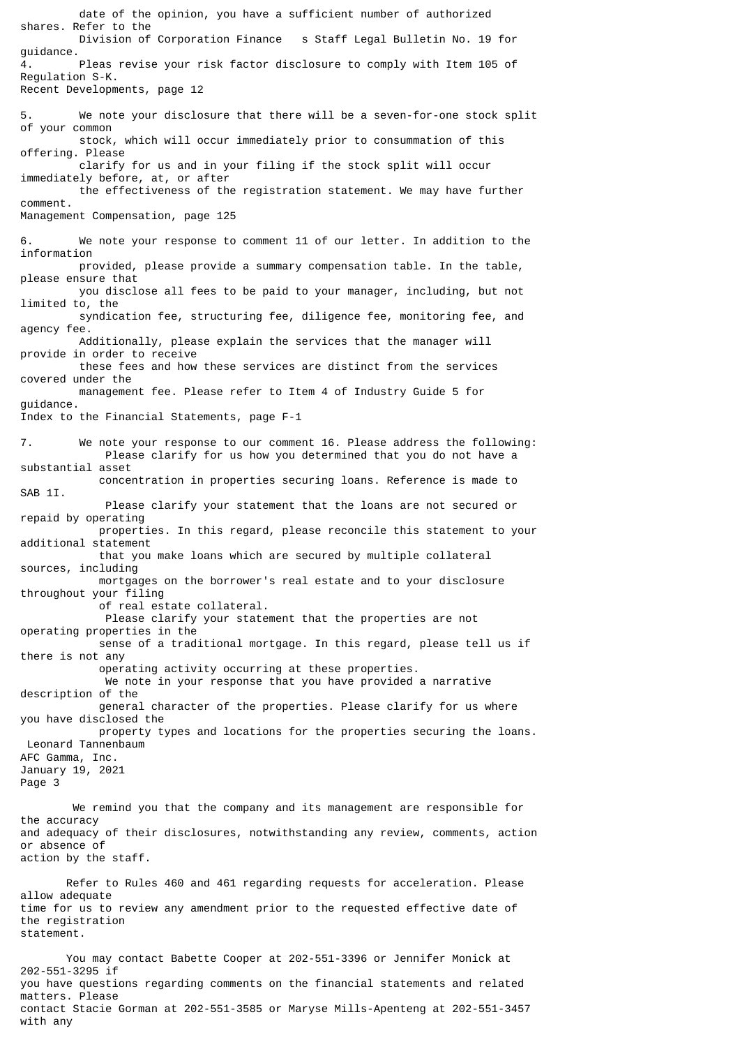date of the opinion, you have a sufficient number of authorized shares. Refer to the s Staff Legal Bulletin No. 19 for guidance. 4. Pleas revise your risk factor disclosure to comply with Item 105 of Regulation S-K. Recent Developments, page 12 5. We note your disclosure that there will be a seven-for-one stock split of your common stock, which will occur immediately prior to consummation of this offering. Please clarify for us and in your filing if the stock split will occur immediately before, at, or after the effectiveness of the registration statement. We may have further comment. Management Compensation, page 125 6. We note your response to comment 11 of our letter. In addition to the information provided, please provide a summary compensation table. In the table, please ensure that you disclose all fees to be paid to your manager, including, but not limited to, the syndication fee, structuring fee, diligence fee, monitoring fee, and agency fee. Additionally, please explain the services that the manager will provide in order to receive these fees and how these services are distinct from the services covered under the management fee. Please refer to Item 4 of Industry Guide 5 for guidance. Index to the Financial Statements, page F-1 7. We note your response to our comment 16. Please address the following: Please clarify for us how you determined that you do not have a substantial asset concentration in properties securing loans. Reference is made to SAB 1I. Please clarify your statement that the loans are not secured or repaid by operating properties. In this regard, please reconcile this statement to your additional statement that you make loans which are secured by multiple collateral sources, including mortgages on the borrower's real estate and to your disclosure throughout your filing of real estate collateral. Please clarify your statement that the properties are not operating properties in the sense of a traditional mortgage. In this regard, please tell us if there is not any operating activity occurring at these properties. We note in your response that you have provided a narrative description of the general character of the properties. Please clarify for us where you have disclosed the property types and locations for the properties securing the loans. Leonard Tannenbaum AFC Gamma, Inc. January 19, 2021 Page 3 We remind you that the company and its management are responsible for the accuracy and adequacy of their disclosures, notwithstanding any review, comments, action or absence of action by the staff. Refer to Rules 460 and 461 regarding requests for acceleration. Please allow adequate time for us to review any amendment prior to the requested effective date of the registration statement. You may contact Babette Cooper at 202-551-3396 or Jennifer Monick at 202-551-3295 if you have questions regarding comments on the financial statements and related matters. Please

contact Stacie Gorman at 202-551-3585 or Maryse Mills-Apenteng at 202-551-3457

with any